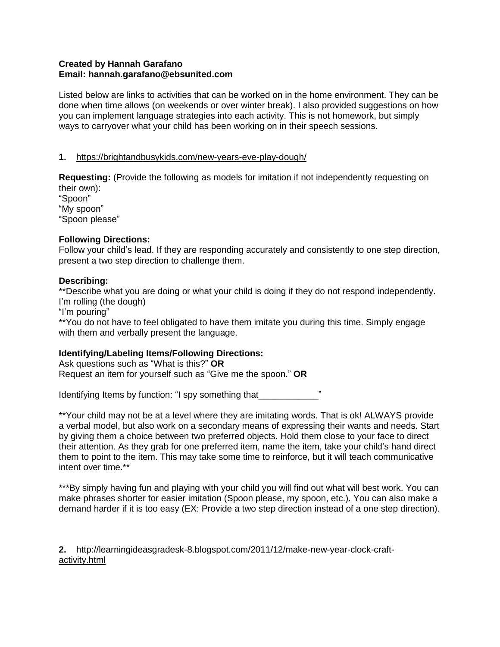## **Created by Hannah Garafano Email: hannah.garafano@ebsunited.com**

Listed below are links to activities that can be worked on in the home environment. They can be done when time allows (on weekends or over winter break). I also provided suggestions on how you can implement language strategies into each activity. This is not homework, but simply ways to carryover what your child has been working on in their speech sessions.

## **1.** <https://brightandbusykids.com/new-years-eve-play-dough/>

**Requesting:** (Provide the following as models for imitation if not independently requesting on their own):

"Spoon" "My spoon" "Spoon please"

## **Following Directions:**

Follow your child's lead. If they are responding accurately and consistently to one step direction, present a two step direction to challenge them.

## **Describing:**

\*\*Describe what you are doing or what your child is doing if they do not respond independently. I'm rolling (the dough)

"I'm pouring"

\*\*You do not have to feel obligated to have them imitate you during this time. Simply engage with them and verbally present the language.

# **Identifying/Labeling Items/Following Directions:**

Ask questions such as "What is this?" **OR** Request an item for yourself such as "Give me the spoon." **OR**

Identifying Items by function: "I spy something that  $\blacksquare$ 

\*\*Your child may not be at a level where they are imitating words. That is ok! ALWAYS provide a verbal model, but also work on a secondary means of expressing their wants and needs. Start by giving them a choice between two preferred objects. Hold them close to your face to direct their attention. As they grab for one preferred item, name the item, take your child's hand direct them to point to the item. This may take some time to reinforce, but it will teach communicative intent over time.\*\*

\*\*\*By simply having fun and playing with your child you will find out what will best work. You can make phrases shorter for easier imitation (Spoon please, my spoon, etc.). You can also make a demand harder if it is too easy (EX: Provide a two step direction instead of a one step direction).

### **2.** [http://learningideasgradesk-8.blogspot.com/2011/12/make-new-year-clock-craft](http://learningideasgradesk-8.blogspot.com/2011/12/make-new-year-clock-craft-activity.html)[activity.html](http://learningideasgradesk-8.blogspot.com/2011/12/make-new-year-clock-craft-activity.html)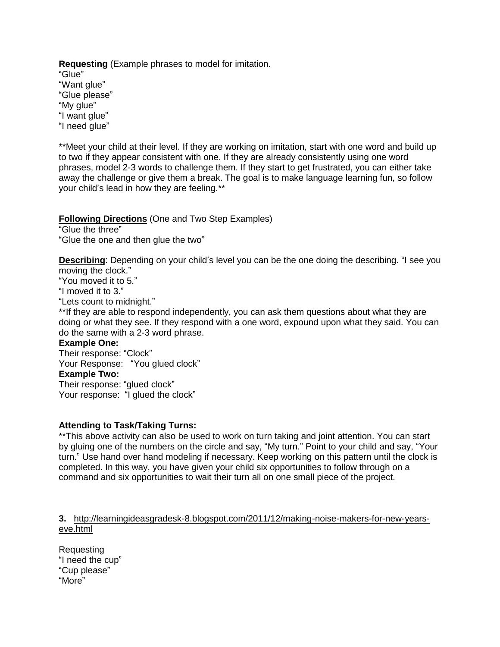**Requesting** (Example phrases to model for imitation. "Glue" "Want glue" "Glue please" "My glue" "I want glue" "I need glue"

\*\*Meet your child at their level. If they are working on imitation, start with one word and build up to two if they appear consistent with one. If they are already consistently using one word phrases, model 2-3 words to challenge them. If they start to get frustrated, you can either take away the challenge or give them a break. The goal is to make language learning fun, so follow your child's lead in how they are feeling.\*\*

### **Following Directions** (One and Two Step Examples)

"Glue the three" "Glue the one and then glue the two"

**Describing**: Depending on your child's level you can be the one doing the describing. "I see you moving the clock."

"You moved it to 5."

"I moved it to 3."

"Lets count to midnight."

\*\*If they are able to respond independently, you can ask them questions about what they are doing or what they see. If they respond with a one word, expound upon what they said. You can do the same with a 2-3 word phrase.

#### **Example One:**

Their response: "Clock" Your Response: "You glued clock" **Example Two:**

Their response: "glued clock" Your response: "I glued the clock"

#### **Attending to Task/Taking Turns:**

\*\*This above activity can also be used to work on turn taking and joint attention. You can start by gluing one of the numbers on the circle and say, "My turn." Point to your child and say, "Your turn." Use hand over hand modeling if necessary. Keep working on this pattern until the clock is completed. In this way, you have given your child six opportunities to follow through on a command and six opportunities to wait their turn all on one small piece of the project.

#### **3.** [http://learningideasgradesk-8.blogspot.com/2011/12/making-noise-makers-for-new-years](http://learningideasgradesk-8.blogspot.com/2011/12/making-noise-makers-for-new-years-eve.html)[eve.html](http://learningideasgradesk-8.blogspot.com/2011/12/making-noise-makers-for-new-years-eve.html)

Requesting "I need the cup" "Cup please" "More"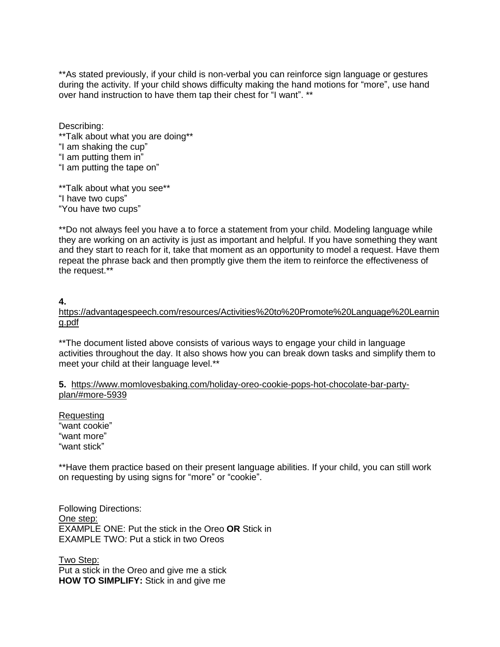\*\*As stated previously, if your child is non-verbal you can reinforce sign language or gestures during the activity. If your child shows difficulty making the hand motions for "more", use hand over hand instruction to have them tap their chest for "I want". \*\*

Describing: \*\*Talk about what you are doing\*\* "I am shaking the cup" "I am putting them in" "I am putting the tape on"

\*\*Talk about what you see\*\* "I have two cups" "You have two cups"

\*\*Do not always feel you have a to force a statement from your child. Modeling language while they are working on an activity is just as important and helpful. If you have something they want and they start to reach for it, take that moment as an opportunity to model a request. Have them repeat the phrase back and then promptly give them the item to reinforce the effectiveness of the request.\*\*

#### **4.**

[https://advantagespeech.com/resources/Activities%20to%20Promote%20Language%20Learnin](https://advantagespeech.com/resources/Activities%20to%20Promote%20Language%20Learning.pdf) [g.pdf](https://advantagespeech.com/resources/Activities%20to%20Promote%20Language%20Learning.pdf)

\*\*The document listed above consists of various ways to engage your child in language activities throughout the day. It also shows how you can break down tasks and simplify them to meet your child at their language level.\*\*

#### **5.** [https://www.momlovesbaking.com/holiday-oreo-cookie-pops-hot-chocolate-bar-party](https://www.momlovesbaking.com/holiday-oreo-cookie-pops-hot-chocolate-bar-party-plan/#more-5939)[plan/#more-5939](https://www.momlovesbaking.com/holiday-oreo-cookie-pops-hot-chocolate-bar-party-plan/#more-5939)

Requesting "want cookie" "want more" "want stick"

\*\*Have them practice based on their present language abilities. If your child, you can still work on requesting by using signs for "more" or "cookie".

Following Directions: One step: EXAMPLE ONE: Put the stick in the Oreo **OR** Stick in EXAMPLE TWO: Put a stick in two Oreos

Two Step: Put a stick in the Oreo and give me a stick **HOW TO SIMPLIFY:** Stick in and give me